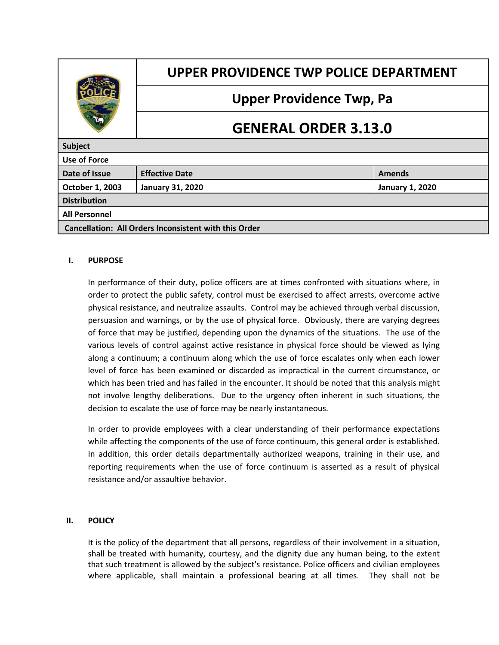

# **UPPER PROVIDENCE TWP POLICE DEPARTMENT**

# **Upper Providence Twp, Pa**

# **GENERAL ORDER 3.13.0**

| <b>Subject</b>                                               |                         |                        |  |
|--------------------------------------------------------------|-------------------------|------------------------|--|
| <b>Use of Force</b>                                          |                         |                        |  |
| Date of Issue                                                | <b>Effective Date</b>   | <b>Amends</b>          |  |
| October 1, 2003                                              | <b>January 31, 2020</b> | <b>January 1, 2020</b> |  |
| <b>Distribution</b>                                          |                         |                        |  |
| <b>All Personnel</b>                                         |                         |                        |  |
| <b>Cancellation: All Orders Inconsistent with this Order</b> |                         |                        |  |

## **I. PURPOSE**

In performance of their duty, police officers are at times confronted with situations where, in order to protect the public safety, control must be exercised to affect arrests, overcome active physical resistance, and neutralize assaults. Control may be achieved through verbal discussion, persuasion and warnings, or by the use of physical force. Obviously, there are varying degrees of force that may be justified, depending upon the dynamics of the situations. The use of the various levels of control against active resistance in physical force should be viewed as lying along a continuum; a continuum along which the use of force escalates only when each lower level of force has been examined or discarded as impractical in the current circumstance, or which has been tried and has failed in the encounter. It should be noted that this analysis might not involve lengthy deliberations. Due to the urgency often inherent in such situations, the decision to escalate the use of force may be nearly instantaneous.

In order to provide employees with a clear understanding of their performance expectations while affecting the components of the use of force continuum, this general order is established. In addition, this order details departmentally authorized weapons, training in their use, and reporting requirements when the use of force continuum is asserted as a result of physical resistance and/or assaultive behavior.

#### **II. POLICY**

It is the policy of the department that all persons, regardless of their involvement in a situation, shall be treated with humanity, courtesy, and the dignity due any human being, to the extent that such treatment is allowed by the subject's resistance. Police officers and civilian employees where applicable, shall maintain a professional bearing at all times. They shall not be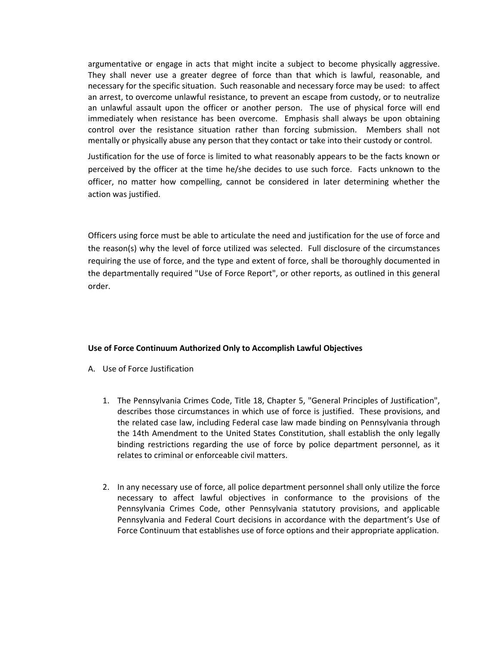argumentative or engage in acts that might incite a subject to become physically aggressive. They shall never use a greater degree of force than that which is lawful, reasonable, and necessary for the specific situation. Such reasonable and necessary force may be used: to affect an arrest, to overcome unlawful resistance, to prevent an escape from custody, or to neutralize an unlawful assault upon the officer or another person. The use of physical force will end immediately when resistance has been overcome. Emphasis shall always be upon obtaining control over the resistance situation rather than forcing submission. Members shall not mentally or physically abuse any person that they contact or take into their custody or control.

Justification for the use of force is limited to what reasonably appears to be the facts known or perceived by the officer at the time he/she decides to use such force. Facts unknown to the officer, no matter how compelling, cannot be considered in later determining whether the action was justified.

Officers using force must be able to articulate the need and justification for the use of force and the reason(s) why the level of force utilized was selected. Full disclosure of the circumstances requiring the use of force, and the type and extent of force, shall be thoroughly documented in the departmentally required "Use of Force Report", or other reports, as outlined in this general order.

#### **Use of Force Continuum Authorized Only to Accomplish Lawful Objectives**

- A. Use of Force Justification
	- 1. The Pennsylvania Crimes Code, Title 18, Chapter 5, "General Principles of Justification", describes those circumstances in which use of force is justified. These provisions, and the related case law, including Federal case law made binding on Pennsylvania through the 14th Amendment to the United States Constitution, shall establish the only legally binding restrictions regarding the use of force by police department personnel, as it relates to criminal or enforceable civil matters.
	- 2. In any necessary use of force, all police department personnel shall only utilize the force necessary to affect lawful objectives in conformance to the provisions of the Pennsylvania Crimes Code, other Pennsylvania statutory provisions, and applicable Pennsylvania and Federal Court decisions in accordance with the department's Use of Force Continuum that establishes use of force options and their appropriate application.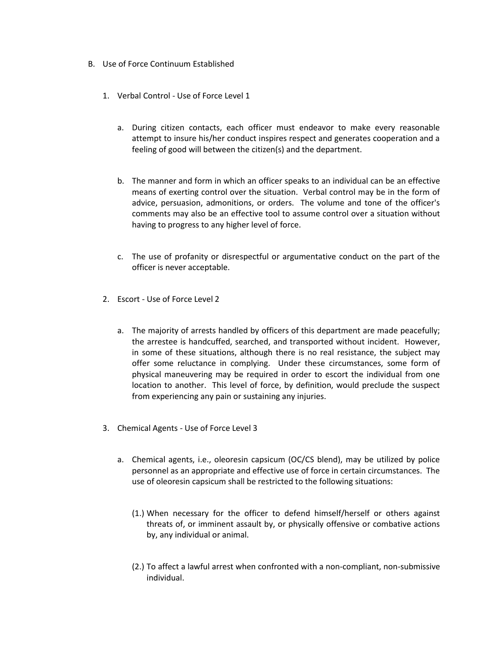- B. Use of Force Continuum Established
	- 1. Verbal Control Use of Force Level 1
		- a. During citizen contacts, each officer must endeavor to make every reasonable attempt to insure his/her conduct inspires respect and generates cooperation and a feeling of good will between the citizen(s) and the department.
		- b. The manner and form in which an officer speaks to an individual can be an effective means of exerting control over the situation. Verbal control may be in the form of advice, persuasion, admonitions, or orders. The volume and tone of the officer's comments may also be an effective tool to assume control over a situation without having to progress to any higher level of force.
		- c. The use of profanity or disrespectful or argumentative conduct on the part of the officer is never acceptable.
	- 2. Escort Use of Force Level 2
		- a. The majority of arrests handled by officers of this department are made peacefully; the arrestee is handcuffed, searched, and transported without incident. However, in some of these situations, although there is no real resistance, the subject may offer some reluctance in complying. Under these circumstances, some form of physical maneuvering may be required in order to escort the individual from one location to another. This level of force, by definition, would preclude the suspect from experiencing any pain or sustaining any injuries.
	- 3. Chemical Agents Use of Force Level 3
		- a. Chemical agents, i.e., oleoresin capsicum (OC/CS blend), may be utilized by police personnel as an appropriate and effective use of force in certain circumstances. The use of oleoresin capsicum shall be restricted to the following situations:
			- (1.) When necessary for the officer to defend himself/herself or others against threats of, or imminent assault by, or physically offensive or combative actions by, any individual or animal.
			- (2.) To affect a lawful arrest when confronted with a non-compliant, non-submissive individual.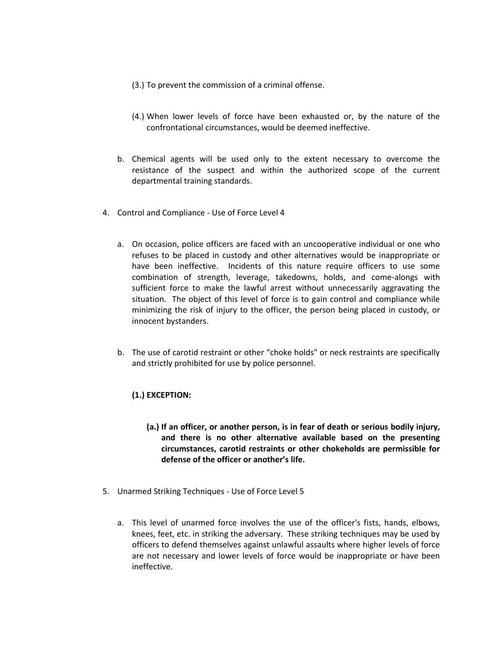- (3.) To prevent the commission of a criminal offense.
- (4.) When lower levels of force have been exhausted or, by the nature of the confrontational circumstances, would be deemed ineffective.
- b. Chemical agents will be used only to the extent necessary to overcome the resistance of the suspect and within the authorized scope of the current departmental training standards.
- 4. Control and Compliance Use of Force Level 4
	- a. On occasion, police officers are faced with an uncooperative individual or one who refuses to be placed in custody and other alternatives would be inappropriate or have been ineffective. Incidents of this nature require officers to use some combination of strength, leverage, takedowns, holds, and come-alongs with sufficient force to make the lawful arrest without unnecessarily aggravating the situation. The object of this level of force is to gain control and compliance while minimizing the risk of injury to the officer, the person being placed in custody, or innocent bystanders.
	- b. The use of carotid restraint or other "choke holds" or neck restraints are specifically and strictly prohibited for use by police personnel.

#### **(1.) EXCEPTION:**

- **(a.) If an officer, or another person, is in fear of death or serious bodily injury, and there is no other alternative available based on the presenting circumstances, carotid restraints or other chokeholds are permissible for defense of the officer or another's life.**
- 5. Unarmed Striking Techniques Use of Force Level 5
	- a. This level of unarmed force involves the use of the officer's fists, hands, elbows, knees, feet, etc. in striking the adversary. These striking techniques may be used by officers to defend themselves against unlawful assaults where higher levels of force are not necessary and lower levels of force would be inappropriate or have been ineffective.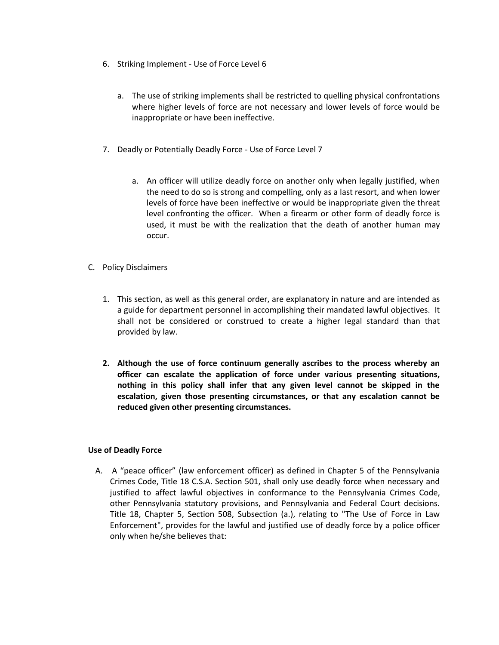- 6. Striking Implement Use of Force Level 6
	- a. The use of striking implements shall be restricted to quelling physical confrontations where higher levels of force are not necessary and lower levels of force would be inappropriate or have been ineffective.
- 7. Deadly or Potentially Deadly Force Use of Force Level 7
	- a. An officer will utilize deadly force on another only when legally justified, when the need to do so is strong and compelling, only as a last resort, and when lower levels of force have been ineffective or would be inappropriate given the threat level confronting the officer. When a firearm or other form of deadly force is used, it must be with the realization that the death of another human may occur.
- C. Policy Disclaimers
	- 1. This section, as well as this general order, are explanatory in nature and are intended as a guide for department personnel in accomplishing their mandated lawful objectives. It shall not be considered or construed to create a higher legal standard than that provided by law.
	- **2. Although the use of force continuum generally ascribes to the process whereby an officer can escalate the application of force under various presenting situations, nothing in this policy shall infer that any given level cannot be skipped in the escalation, given those presenting circumstances, or that any escalation cannot be reduced given other presenting circumstances.**

#### **Use of Deadly Force**

A. A "peace officer" (law enforcement officer) as defined in Chapter 5 of the Pennsylvania Crimes Code, Title 18 C.S.A. Section 501, shall only use deadly force when necessary and justified to affect lawful objectives in conformance to the Pennsylvania Crimes Code, other Pennsylvania statutory provisions, and Pennsylvania and Federal Court decisions. Title 18, Chapter 5, Section 508, Subsection (a.), relating to "The Use of Force in Law Enforcement", provides for the lawful and justified use of deadly force by a police officer only when he/she believes that: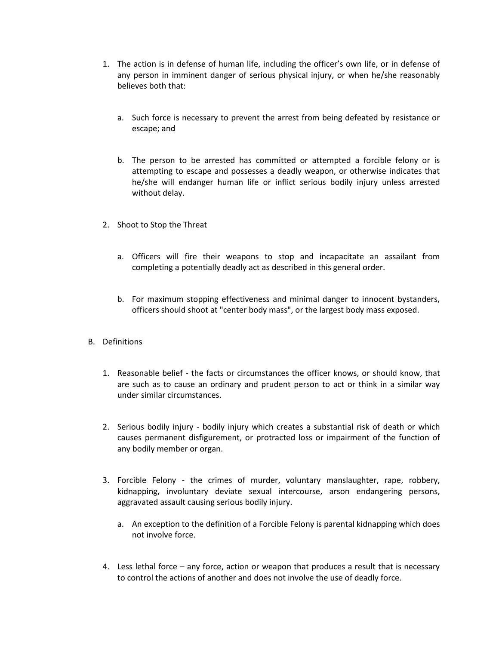- 1. The action is in defense of human life, including the officer's own life, or in defense of any person in imminent danger of serious physical injury, or when he/she reasonably believes both that:
	- a. Such force is necessary to prevent the arrest from being defeated by resistance or escape; and
	- b. The person to be arrested has committed or attempted a forcible felony or is attempting to escape and possesses a deadly weapon, or otherwise indicates that he/she will endanger human life or inflict serious bodily injury unless arrested without delay.
- 2. Shoot to Stop the Threat
	- a. Officers will fire their weapons to stop and incapacitate an assailant from completing a potentially deadly act as described in this general order.
	- b. For maximum stopping effectiveness and minimal danger to innocent bystanders, officers should shoot at "center body mass", or the largest body mass exposed.
- B. Definitions
	- 1. Reasonable belief the facts or circumstances the officer knows, or should know, that are such as to cause an ordinary and prudent person to act or think in a similar way under similar circumstances.
	- 2. Serious bodily injury bodily injury which creates a substantial risk of death or which causes permanent disfigurement, or protracted loss or impairment of the function of any bodily member or organ.
	- 3. Forcible Felony the crimes of murder, voluntary manslaughter, rape, robbery, kidnapping, involuntary deviate sexual intercourse, arson endangering persons, aggravated assault causing serious bodily injury.
		- a. An exception to the definition of a Forcible Felony is parental kidnapping which does not involve force.
	- 4. Less lethal force any force, action or weapon that produces a result that is necessary to control the actions of another and does not involve the use of deadly force.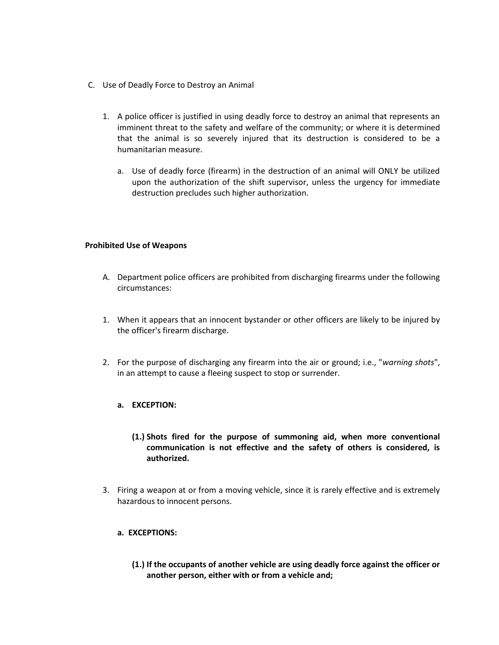- C. Use of Deadly Force to Destroy an Animal
	- 1. A police officer is justified in using deadly force to destroy an animal that represents an imminent threat to the safety and welfare of the community; or where it is determined that the animal is so severely injured that its destruction is considered to be a humanitarian measure.
		- a. Use of deadly force (firearm) in the destruction of an animal will ONLY be utilized upon the authorization of the shift supervisor, unless the urgency for immediate destruction precludes such higher authorization.

#### **Prohibited Use of Weapons**

- A. Department police officers are prohibited from discharging firearms under the following circumstances:
- 1. When it appears that an innocent bystander or other officers are likely to be injured by the officer's firearm discharge.
- 2. For the purpose of discharging any firearm into the air or ground; i.e., "*warning shots*", in an attempt to cause a fleeing suspect to stop or surrender.

#### **a. EXCEPTION:**

- **(1.) Shots fired for the purpose of summoning aid, when more conventional communication is not effective and the safety of others is considered, is authorized.**
- 3. Firing a weapon at or from a moving vehicle, since it is rarely effective and is extremely hazardous to innocent persons.

#### **a. EXCEPTIONS:**

**(1.) If the occupants of another vehicle are using deadly force against the officer or another person, either with or from a vehicle and;**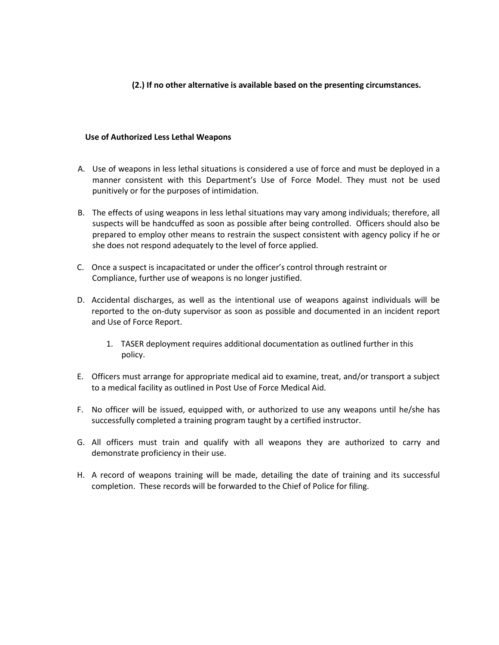### **(2.) If no other alternative is available based on the presenting circumstances.**

#### **Use of Authorized Less Lethal Weapons**

- A. Use of weapons in less lethal situations is considered a use of force and must be deployed in a manner consistent with this Department's Use of Force Model. They must not be used punitively or for the purposes of intimidation.
- B. The effects of using weapons in less lethal situations may vary among individuals; therefore, all suspects will be handcuffed as soon as possible after being controlled. Officers should also be prepared to employ other means to restrain the suspect consistent with agency policy if he or she does not respond adequately to the level of force applied.
- C. Once a suspect is incapacitated or under the officer's control through restraint or Compliance, further use of weapons is no longer justified.
- D. Accidental discharges, as well as the intentional use of weapons against individuals will be reported to the on-duty supervisor as soon as possible and documented in an incident report and Use of Force Report.
	- 1. TASER deployment requires additional documentation as outlined further in this policy.
- E. Officers must arrange for appropriate medical aid to examine, treat, and/or transport a subject to a medical facility as outlined in Post Use of Force Medical Aid.
- F. No officer will be issued, equipped with, or authorized to use any weapons until he/she has successfully completed a training program taught by a certified instructor.
- G. All officers must train and qualify with all weapons they are authorized to carry and demonstrate proficiency in their use.
- H. A record of weapons training will be made, detailing the date of training and its successful completion. These records will be forwarded to the Chief of Police for filing.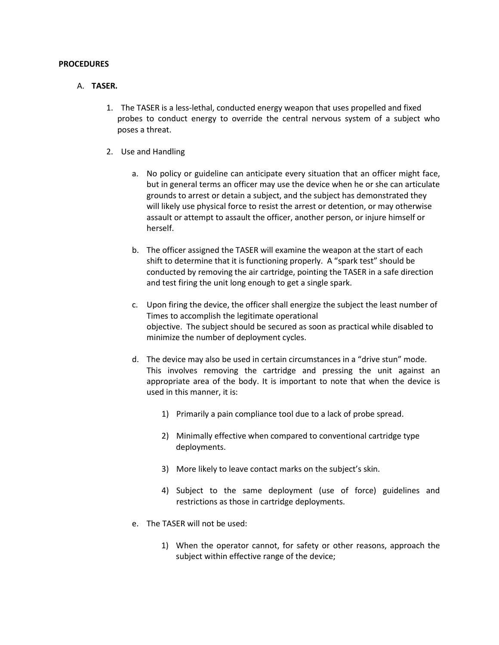#### **PROCEDURES**

#### A. **TASER.**

- 1. The TASER is a less-lethal, conducted energy weapon that uses propelled and fixed probes to conduct energy to override the central nervous system of a subject who poses a threat.
- 2. Use and Handling
	- a. No policy or guideline can anticipate every situation that an officer might face, but in general terms an officer may use the device when he or she can articulate grounds to arrest or detain a subject, and the subject has demonstrated they will likely use physical force to resist the arrest or detention, or may otherwise assault or attempt to assault the officer, another person, or injure himself or herself.
	- b. The officer assigned the TASER will examine the weapon at the start of each shift to determine that it is functioning properly. A "spark test" should be conducted by removing the air cartridge, pointing the TASER in a safe direction and test firing the unit long enough to get a single spark.
	- c. Upon firing the device, the officer shall energize the subject the least number of Times to accomplish the legitimate operational objective. The subject should be secured as soon as practical while disabled to minimize the number of deployment cycles.
	- d. The device may also be used in certain circumstances in a "drive stun" mode. This involves removing the cartridge and pressing the unit against an appropriate area of the body. It is important to note that when the device is used in this manner, it is:
		- 1) Primarily a pain compliance tool due to a lack of probe spread.
		- 2) Minimally effective when compared to conventional cartridge type deployments.
		- 3) More likely to leave contact marks on the subject's skin.
		- 4) Subject to the same deployment (use of force) guidelines and restrictions as those in cartridge deployments.
	- e. The TASER will not be used:
		- 1) When the operator cannot, for safety or other reasons, approach the subject within effective range of the device;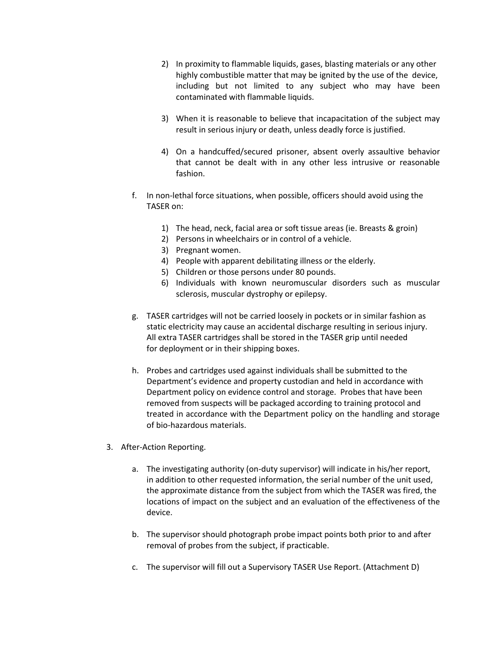- 2) In proximity to flammable liquids, gases, blasting materials or any other highly combustible matter that may be ignited by the use of the device, including but not limited to any subject who may have been contaminated with flammable liquids.
- 3) When it is reasonable to believe that incapacitation of the subject may result in serious injury or death, unless deadly force is justified.
- 4) On a handcuffed/secured prisoner, absent overly assaultive behavior that cannot be dealt with in any other less intrusive or reasonable fashion.
- f. In non-lethal force situations, when possible, officers should avoid using the TASER on:
	- 1) The head, neck, facial area or soft tissue areas (ie. Breasts & groin)
	- 2) Persons in wheelchairs or in control of a vehicle.
	- 3) Pregnant women.
	- 4) People with apparent debilitating illness or the elderly.
	- 5) Children or those persons under 80 pounds.
	- 6) Individuals with known neuromuscular disorders such as muscular sclerosis, muscular dystrophy or epilepsy.
- g. TASER cartridges will not be carried loosely in pockets or in similar fashion as static electricity may cause an accidental discharge resulting in serious injury. All extra TASER cartridges shall be stored in the TASER grip until needed for deployment or in their shipping boxes.
- h. Probes and cartridges used against individuals shall be submitted to the Department's evidence and property custodian and held in accordance with Department policy on evidence control and storage. Probes that have been removed from suspects will be packaged according to training protocol and treated in accordance with the Department policy on the handling and storage of bio-hazardous materials.
- 3. After-Action Reporting.
	- a. The investigating authority (on-duty supervisor) will indicate in his/her report, in addition to other requested information, the serial number of the unit used, the approximate distance from the subject from which the TASER was fired, the locations of impact on the subject and an evaluation of the effectiveness of the device.
	- b. The supervisor should photograph probe impact points both prior to and after removal of probes from the subject, if practicable.
	- c. The supervisor will fill out a Supervisory TASER Use Report. (Attachment D)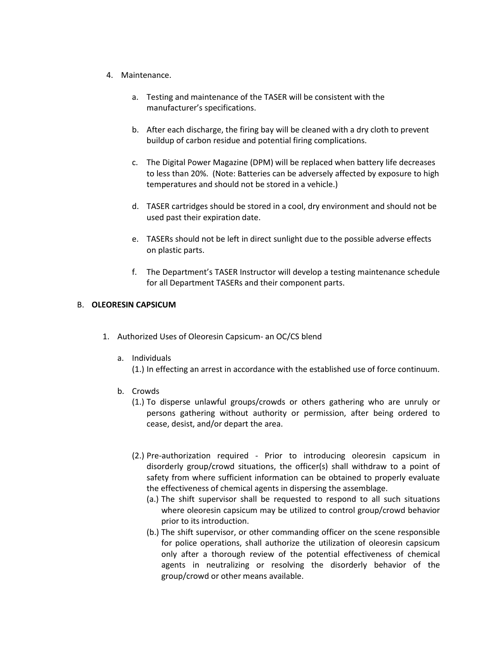- 4. Maintenance.
	- a. Testing and maintenance of the TASER will be consistent with the manufacturer's specifications.
	- b. After each discharge, the firing bay will be cleaned with a dry cloth to prevent buildup of carbon residue and potential firing complications.
	- c. The Digital Power Magazine (DPM) will be replaced when battery life decreases to less than 20%. (Note: Batteries can be adversely affected by exposure to high temperatures and should not be stored in a vehicle.)
	- d. TASER cartridges should be stored in a cool, dry environment and should not be used past their expiration date.
	- e. TASERs should not be left in direct sunlight due to the possible adverse effects on plastic parts.
	- f. The Department's TASER Instructor will develop a testing maintenance schedule for all Department TASERs and their component parts.

#### B. **OLEORESIN CAPSICUM**

- 1. Authorized Uses of Oleoresin Capsicum- an OC/CS blend
	- a. Individuals
		- (1.) In effecting an arrest in accordance with the established use of force continuum.
	- b. Crowds
		- (1.) To disperse unlawful groups/crowds or others gathering who are unruly or persons gathering without authority or permission, after being ordered to cease, desist, and/or depart the area.
		- (2.) Pre-authorization required Prior to introducing oleoresin capsicum in disorderly group/crowd situations, the officer(s) shall withdraw to a point of safety from where sufficient information can be obtained to properly evaluate the effectiveness of chemical agents in dispersing the assemblage.
			- (a.) The shift supervisor shall be requested to respond to all such situations where oleoresin capsicum may be utilized to control group/crowd behavior prior to its introduction.
			- (b.) The shift supervisor, or other commanding officer on the scene responsible for police operations, shall authorize the utilization of oleoresin capsicum only after a thorough review of the potential effectiveness of chemical agents in neutralizing or resolving the disorderly behavior of the group/crowd or other means available.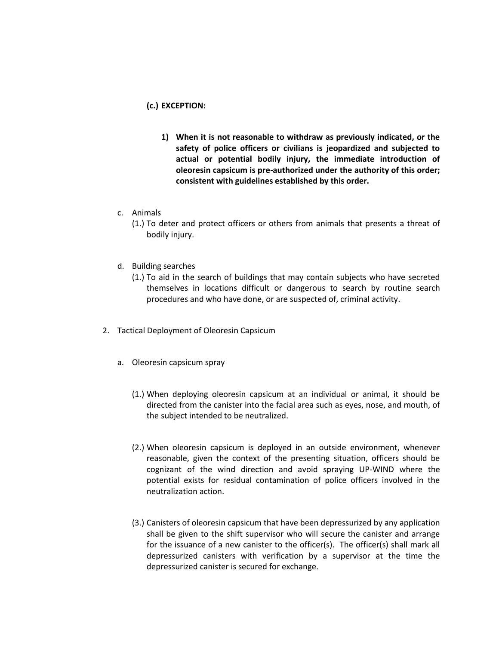#### **(c.) EXCEPTION:**

- **1) When it is not reasonable to withdraw as previously indicated, or the safety of police officers or civilians is jeopardized and subjected to actual or potential bodily injury, the immediate introduction of oleoresin capsicum is pre-authorized under the authority of this order; consistent with guidelines established by this order.**
- c. Animals
	- (1.) To deter and protect officers or others from animals that presents a threat of bodily injury.
- d. Building searches
	- (1.) To aid in the search of buildings that may contain subjects who have secreted themselves in locations difficult or dangerous to search by routine search procedures and who have done, or are suspected of, criminal activity.
- 2. Tactical Deployment of Oleoresin Capsicum
	- a. Oleoresin capsicum spray
		- (1.) When deploying oleoresin capsicum at an individual or animal, it should be directed from the canister into the facial area such as eyes, nose, and mouth, of the subject intended to be neutralized.
		- (2.) When oleoresin capsicum is deployed in an outside environment, whenever reasonable, given the context of the presenting situation, officers should be cognizant of the wind direction and avoid spraying UP-WIND where the potential exists for residual contamination of police officers involved in the neutralization action.
		- (3.) Canisters of oleoresin capsicum that have been depressurized by any application shall be given to the shift supervisor who will secure the canister and arrange for the issuance of a new canister to the officer(s). The officer(s) shall mark all depressurized canisters with verification by a supervisor at the time the depressurized canister is secured for exchange.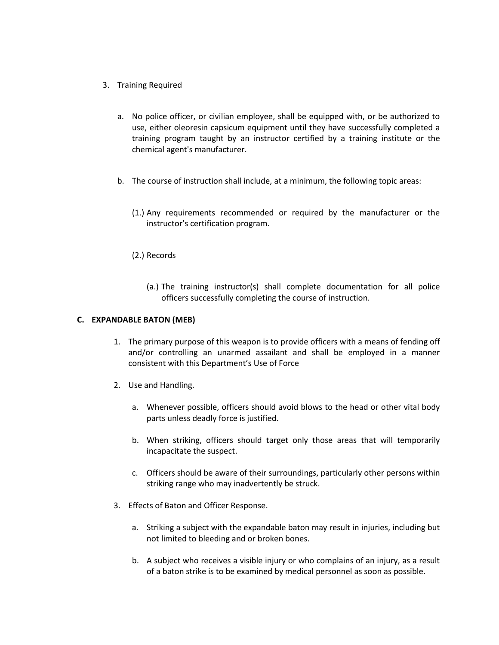- 3. Training Required
	- a. No police officer, or civilian employee, shall be equipped with, or be authorized to use, either oleoresin capsicum equipment until they have successfully completed a training program taught by an instructor certified by a training institute or the chemical agent's manufacturer.
	- b. The course of instruction shall include, at a minimum, the following topic areas:
		- (1.) Any requirements recommended or required by the manufacturer or the instructor's certification program.
		- (2.) Records
			- (a.) The training instructor(s) shall complete documentation for all police officers successfully completing the course of instruction.

#### **C. EXPANDABLE BATON (MEB)**

- 1. The primary purpose of this weapon is to provide officers with a means of fending off and/or controlling an unarmed assailant and shall be employed in a manner consistent with this Department's Use of Force
- 2. Use and Handling.
	- a. Whenever possible, officers should avoid blows to the head or other vital body parts unless deadly force is justified.
	- b. When striking, officers should target only those areas that will temporarily incapacitate the suspect.
	- c. Officers should be aware of their surroundings, particularly other persons within striking range who may inadvertently be struck.
- 3. Effects of Baton and Officer Response.
	- a. Striking a subject with the expandable baton may result in injuries, including but not limited to bleeding and or broken bones.
	- b. A subject who receives a visible injury or who complains of an injury, as a result of a baton strike is to be examined by medical personnel as soon as possible.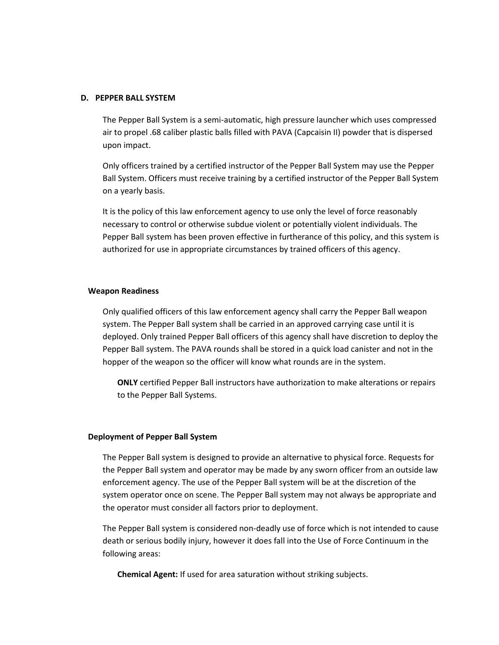#### **D. PEPPER BALL SYSTEM**

The Pepper Ball System is a semi-automatic, high pressure launcher which uses compressed air to propel .68 caliber plastic balls filled with PAVA (Capcaisin II) powder that is dispersed upon impact.

Only officers trained by a certified instructor of the Pepper Ball System may use the Pepper Ball System. Officers must receive training by a certified instructor of the Pepper Ball System on a yearly basis.

It is the policy of this law enforcement agency to use only the level of force reasonably necessary to control or otherwise subdue violent or potentially violent individuals. The Pepper Ball system has been proven effective in furtherance of this policy, and this system is authorized for use in appropriate circumstances by trained officers of this agency.

#### **Weapon Readiness**

Only qualified officers of this law enforcement agency shall carry the Pepper Ball weapon system. The Pepper Ball system shall be carried in an approved carrying case until it is deployed. Only trained Pepper Ball officers of this agency shall have discretion to deploy the Pepper Ball system. The PAVA rounds shall be stored in a quick load canister and not in the hopper of the weapon so the officer will know what rounds are in the system.

**ONLY** certified Pepper Ball instructors have authorization to make alterations or repairs to the Pepper Ball Systems.

#### **Deployment of Pepper Ball System**

The Pepper Ball system is designed to provide an alternative to physical force. Requests for the Pepper Ball system and operator may be made by any sworn officer from an outside law enforcement agency. The use of the Pepper Ball system will be at the discretion of the system operator once on scene. The Pepper Ball system may not always be appropriate and the operator must consider all factors prior to deployment.

The Pepper Ball system is considered non-deadly use of force which is not intended to cause death or serious bodily injury, however it does fall into the Use of Force Continuum in the following areas:

**Chemical Agent:** If used for area saturation without striking subjects.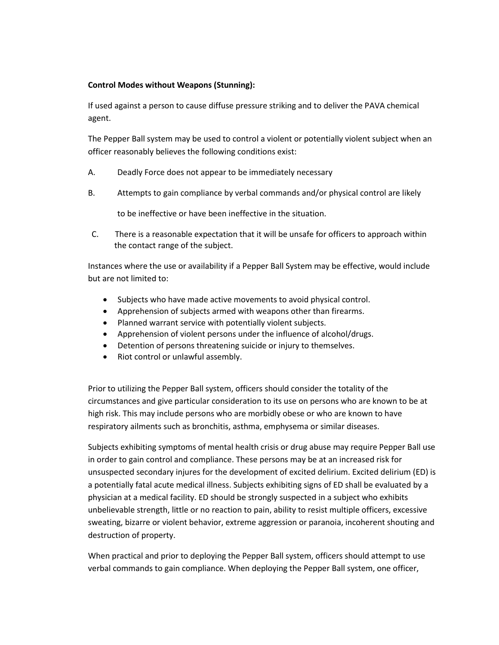### **Control Modes without Weapons (Stunning):**

If used against a person to cause diffuse pressure striking and to deliver the PAVA chemical agent.

The Pepper Ball system may be used to control a violent or potentially violent subject when an officer reasonably believes the following conditions exist:

- A. Deadly Force does not appear to be immediately necessary
- B. Attempts to gain compliance by verbal commands and/or physical control are likely

to be ineffective or have been ineffective in the situation.

C. There is a reasonable expectation that it will be unsafe for officers to approach within the contact range of the subject.

Instances where the use or availability if a Pepper Ball System may be effective, would include but are not limited to:

- Subjects who have made active movements to avoid physical control.
- Apprehension of subjects armed with weapons other than firearms.
- Planned warrant service with potentially violent subjects.
- Apprehension of violent persons under the influence of alcohol/drugs.
- Detention of persons threatening suicide or injury to themselves.
- Riot control or unlawful assembly.

Prior to utilizing the Pepper Ball system, officers should consider the totality of the circumstances and give particular consideration to its use on persons who are known to be at high risk. This may include persons who are morbidly obese or who are known to have respiratory ailments such as bronchitis, asthma, emphysema or similar diseases.

Subjects exhibiting symptoms of mental health crisis or drug abuse may require Pepper Ball use in order to gain control and compliance. These persons may be at an increased risk for unsuspected secondary injures for the development of excited delirium. Excited delirium (ED) is a potentially fatal acute medical illness. Subjects exhibiting signs of ED shall be evaluated by a physician at a medical facility. ED should be strongly suspected in a subject who exhibits unbelievable strength, little or no reaction to pain, ability to resist multiple officers, excessive sweating, bizarre or violent behavior, extreme aggression or paranoia, incoherent shouting and destruction of property.

When practical and prior to deploying the Pepper Ball system, officers should attempt to use verbal commands to gain compliance. When deploying the Pepper Ball system, one officer,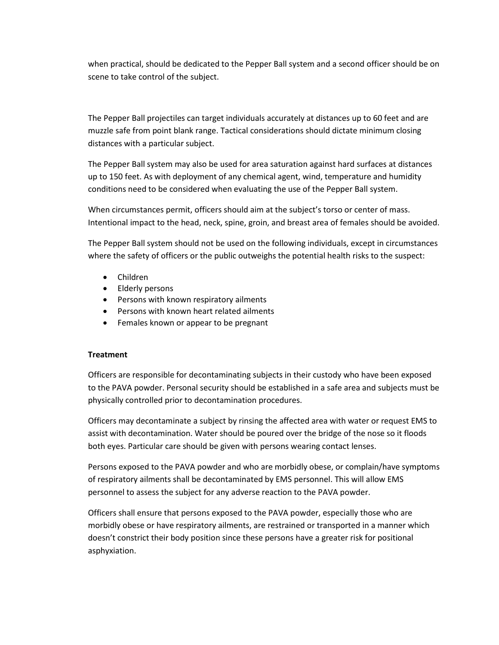when practical, should be dedicated to the Pepper Ball system and a second officer should be on scene to take control of the subject.

The Pepper Ball projectiles can target individuals accurately at distances up to 60 feet and are muzzle safe from point blank range. Tactical considerations should dictate minimum closing distances with a particular subject.

The Pepper Ball system may also be used for area saturation against hard surfaces at distances up to 150 feet. As with deployment of any chemical agent, wind, temperature and humidity conditions need to be considered when evaluating the use of the Pepper Ball system.

When circumstances permit, officers should aim at the subject's torso or center of mass. Intentional impact to the head, neck, spine, groin, and breast area of females should be avoided.

The Pepper Ball system should not be used on the following individuals, except in circumstances where the safety of officers or the public outweighs the potential health risks to the suspect:

- Children
- Elderly persons
- **•** Persons with known respiratory ailments
- Persons with known heart related ailments
- Females known or appear to be pregnant

#### **Treatment**

Officers are responsible for decontaminating subjects in their custody who have been exposed to the PAVA powder. Personal security should be established in a safe area and subjects must be physically controlled prior to decontamination procedures.

Officers may decontaminate a subject by rinsing the affected area with water or request EMS to assist with decontamination. Water should be poured over the bridge of the nose so it floods both eyes. Particular care should be given with persons wearing contact lenses.

Persons exposed to the PAVA powder and who are morbidly obese, or complain/have symptoms of respiratory ailments shall be decontaminated by EMS personnel. This will allow EMS personnel to assess the subject for any adverse reaction to the PAVA powder.

Officers shall ensure that persons exposed to the PAVA powder, especially those who are morbidly obese or have respiratory ailments, are restrained or transported in a manner which doesn't constrict their body position since these persons have a greater risk for positional asphyxiation.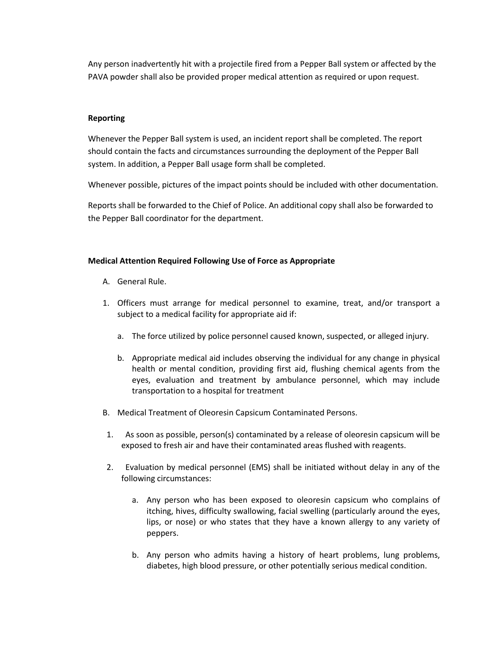Any person inadvertently hit with a projectile fired from a Pepper Ball system or affected by the PAVA powder shall also be provided proper medical attention as required or upon request.

#### **Reporting**

Whenever the Pepper Ball system is used, an incident report shall be completed. The report should contain the facts and circumstances surrounding the deployment of the Pepper Ball system. In addition, a Pepper Ball usage form shall be completed.

Whenever possible, pictures of the impact points should be included with other documentation.

Reports shall be forwarded to the Chief of Police. An additional copy shall also be forwarded to the Pepper Ball coordinator for the department.

#### **Medical Attention Required Following Use of Force as Appropriate**

- A. General Rule.
- 1. Officers must arrange for medical personnel to examine, treat, and/or transport a subject to a medical facility for appropriate aid if:
	- a. The force utilized by police personnel caused known, suspected, or alleged injury.
	- b. Appropriate medical aid includes observing the individual for any change in physical health or mental condition, providing first aid, flushing chemical agents from the eyes, evaluation and treatment by ambulance personnel, which may include transportation to a hospital for treatment
- B. Medical Treatment of Oleoresin Capsicum Contaminated Persons.
- 1. As soon as possible, person(s) contaminated by a release of oleoresin capsicum will be exposed to fresh air and have their contaminated areas flushed with reagents.
- 2. Evaluation by medical personnel (EMS) shall be initiated without delay in any of the following circumstances:
	- a. Any person who has been exposed to oleoresin capsicum who complains of itching, hives, difficulty swallowing, facial swelling (particularly around the eyes, lips, or nose) or who states that they have a known allergy to any variety of peppers.
	- b. Any person who admits having a history of heart problems, lung problems, diabetes, high blood pressure, or other potentially serious medical condition.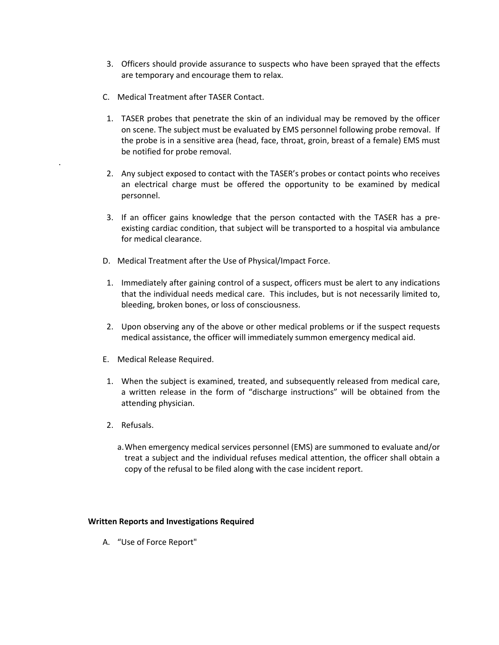- 3. Officers should provide assurance to suspects who have been sprayed that the effects are temporary and encourage them to relax.
- C. Medical Treatment after TASER Contact.
- 1. TASER probes that penetrate the skin of an individual may be removed by the officer on scene. The subject must be evaluated by EMS personnel following probe removal. If the probe is in a sensitive area (head, face, throat, groin, breast of a female) EMS must be notified for probe removal.
- 2. Any subject exposed to contact with the TASER's probes or contact points who receives an electrical charge must be offered the opportunity to be examined by medical personnel.
- 3. If an officer gains knowledge that the person contacted with the TASER has a preexisting cardiac condition, that subject will be transported to a hospital via ambulance for medical clearance.
- D. Medical Treatment after the Use of Physical/Impact Force.
- 1. Immediately after gaining control of a suspect, officers must be alert to any indications that the individual needs medical care. This includes, but is not necessarily limited to, bleeding, broken bones, or loss of consciousness.
- 2. Upon observing any of the above or other medical problems or if the suspect requests medical assistance, the officer will immediately summon emergency medical aid.
- E. Medical Release Required.
- 1. When the subject is examined, treated, and subsequently released from medical care, a written release in the form of "discharge instructions" will be obtained from the attending physician.
- 2. Refusals.

.

a.When emergency medical services personnel (EMS) are summoned to evaluate and/or treat a subject and the individual refuses medical attention, the officer shall obtain a copy of the refusal to be filed along with the case incident report.

#### **Written Reports and Investigations Required**

A. "Use of Force Report"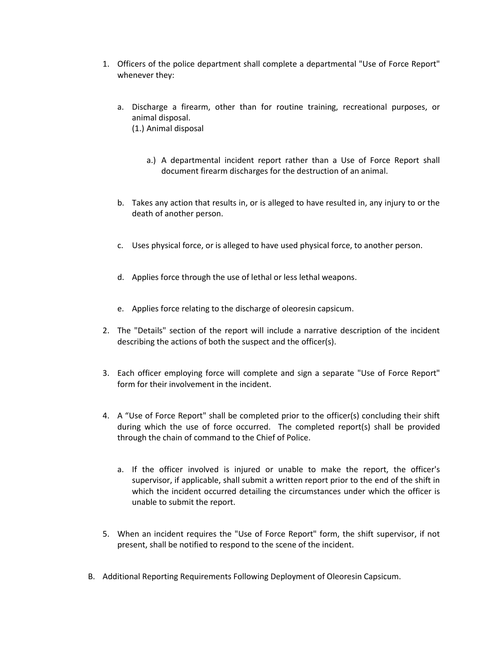- 1. Officers of the police department shall complete a departmental "Use of Force Report" whenever they:
	- a. Discharge a firearm, other than for routine training, recreational purposes, or animal disposal. (1.) Animal disposal
		- a.) A departmental incident report rather than a Use of Force Report shall document firearm discharges for the destruction of an animal.
	- b. Takes any action that results in, or is alleged to have resulted in, any injury to or the death of another person.
	- c. Uses physical force, or is alleged to have used physical force, to another person.
	- d. Applies force through the use of lethal or less lethal weapons.
	- e. Applies force relating to the discharge of oleoresin capsicum.
- 2. The "Details" section of the report will include a narrative description of the incident describing the actions of both the suspect and the officer(s).
- 3. Each officer employing force will complete and sign a separate "Use of Force Report" form for their involvement in the incident.
- 4. A "Use of Force Report" shall be completed prior to the officer(s) concluding their shift during which the use of force occurred. The completed report(s) shall be provided through the chain of command to the Chief of Police.
	- a. If the officer involved is injured or unable to make the report, the officer's supervisor, if applicable, shall submit a written report prior to the end of the shift in which the incident occurred detailing the circumstances under which the officer is unable to submit the report.
- 5. When an incident requires the "Use of Force Report" form, the shift supervisor, if not present, shall be notified to respond to the scene of the incident.
- B. Additional Reporting Requirements Following Deployment of Oleoresin Capsicum.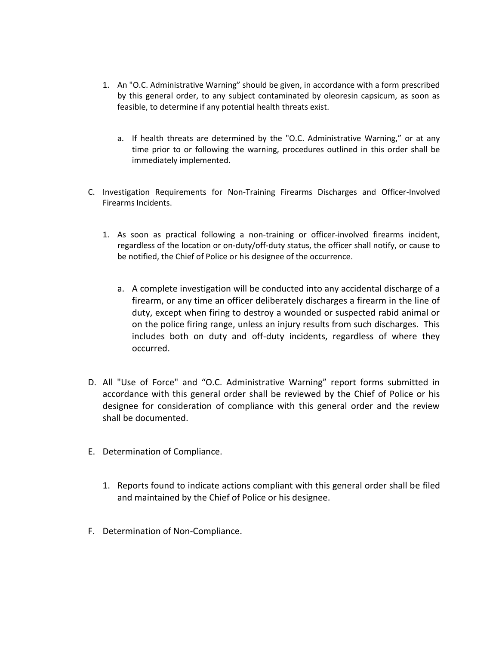- 1. An "O.C. Administrative Warning" should be given, in accordance with a form prescribed by this general order, to any subject contaminated by oleoresin capsicum, as soon as feasible, to determine if any potential health threats exist.
	- a. If health threats are determined by the "O.C. Administrative Warning," or at any time prior to or following the warning, procedures outlined in this order shall be immediately implemented.
- C. Investigation Requirements for Non-Training Firearms Discharges and Officer-Involved Firearms Incidents.
	- 1. As soon as practical following a non-training or officer-involved firearms incident, regardless of the location or on-duty/off-duty status, the officer shall notify, or cause to be notified, the Chief of Police or his designee of the occurrence.
		- a. A complete investigation will be conducted into any accidental discharge of a firearm, or any time an officer deliberately discharges a firearm in the line of duty, except when firing to destroy a wounded or suspected rabid animal or on the police firing range, unless an injury results from such discharges. This includes both on duty and off-duty incidents, regardless of where they occurred.
- D. All "Use of Force" and "O.C. Administrative Warning" report forms submitted in accordance with this general order shall be reviewed by the Chief of Police or his designee for consideration of compliance with this general order and the review shall be documented.
- E. Determination of Compliance.
	- 1. Reports found to indicate actions compliant with this general order shall be filed and maintained by the Chief of Police or his designee.
- F. Determination of Non-Compliance.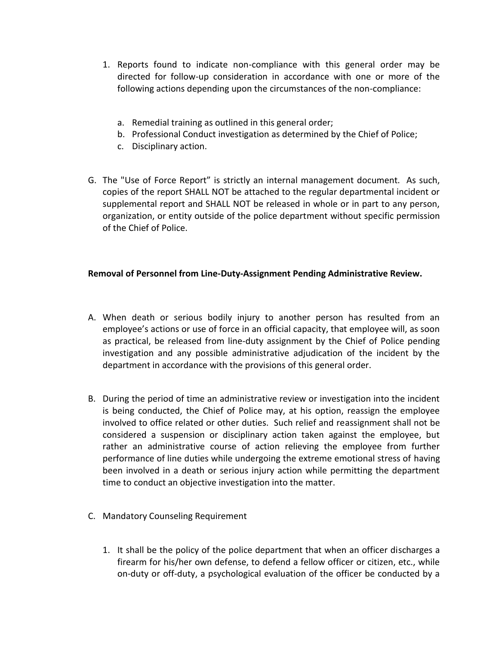- 1. Reports found to indicate non-compliance with this general order may be directed for follow-up consideration in accordance with one or more of the following actions depending upon the circumstances of the non-compliance:
	- a. Remedial training as outlined in this general order;
	- b. Professional Conduct investigation as determined by the Chief of Police;
	- c. Disciplinary action.
- G. The "Use of Force Report" is strictly an internal management document. As such, copies of the report SHALL NOT be attached to the regular departmental incident or supplemental report and SHALL NOT be released in whole or in part to any person, organization, or entity outside of the police department without specific permission of the Chief of Police.

# **Removal of Personnel from Line-Duty-Assignment Pending Administrative Review.**

- A. When death or serious bodily injury to another person has resulted from an employee's actions or use of force in an official capacity, that employee will, as soon as practical, be released from line-duty assignment by the Chief of Police pending investigation and any possible administrative adjudication of the incident by the department in accordance with the provisions of this general order.
- B. During the period of time an administrative review or investigation into the incident is being conducted, the Chief of Police may, at his option, reassign the employee involved to office related or other duties. Such relief and reassignment shall not be considered a suspension or disciplinary action taken against the employee, but rather an administrative course of action relieving the employee from further performance of line duties while undergoing the extreme emotional stress of having been involved in a death or serious injury action while permitting the department time to conduct an objective investigation into the matter.
- C. Mandatory Counseling Requirement
	- 1. It shall be the policy of the police department that when an officer discharges a firearm for his/her own defense, to defend a fellow officer or citizen, etc., while on-duty or off-duty, a psychological evaluation of the officer be conducted by a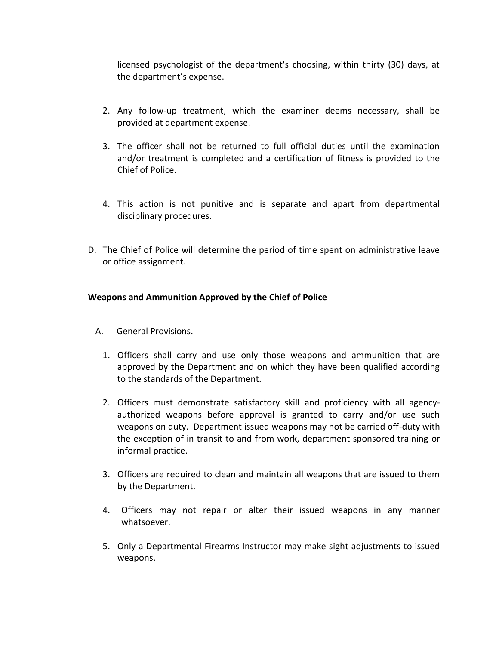licensed psychologist of the department's choosing, within thirty (30) days, at the department's expense.

- 2. Any follow-up treatment, which the examiner deems necessary, shall be provided at department expense.
- 3. The officer shall not be returned to full official duties until the examination and/or treatment is completed and a certification of fitness is provided to the Chief of Police.
- 4. This action is not punitive and is separate and apart from departmental disciplinary procedures.
- D. The Chief of Police will determine the period of time spent on administrative leave or office assignment.

# **Weapons and Ammunition Approved by the Chief of Police**

- A. General Provisions.
	- 1. Officers shall carry and use only those weapons and ammunition that are approved by the Department and on which they have been qualified according to the standards of the Department.
	- 2. Officers must demonstrate satisfactory skill and proficiency with all agencyauthorized weapons before approval is granted to carry and/or use such weapons on duty. Department issued weapons may not be carried off-duty with the exception of in transit to and from work, department sponsored training or informal practice.
	- 3. Officers are required to clean and maintain all weapons that are issued to them by the Department.
	- 4. Officers may not repair or alter their issued weapons in any manner whatsoever.
	- 5. Only a Departmental Firearms Instructor may make sight adjustments to issued weapons.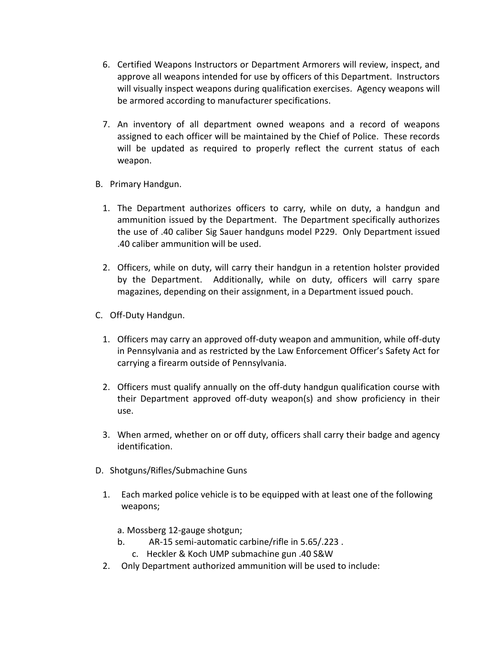- 6. Certified Weapons Instructors or Department Armorers will review, inspect, and approve all weapons intended for use by officers of this Department. Instructors will visually inspect weapons during qualification exercises. Agency weapons will be armored according to manufacturer specifications.
- 7. An inventory of all department owned weapons and a record of weapons assigned to each officer will be maintained by the Chief of Police. These records will be updated as required to properly reflect the current status of each weapon.
- B. Primary Handgun.
	- 1. The Department authorizes officers to carry, while on duty, a handgun and ammunition issued by the Department. The Department specifically authorizes the use of .40 caliber Sig Sauer handguns model P229. Only Department issued .40 caliber ammunition will be used.
	- 2. Officers, while on duty, will carry their handgun in a retention holster provided by the Department. Additionally, while on duty, officers will carry spare magazines, depending on their assignment, in a Department issued pouch.
- C. Off-Duty Handgun.
	- 1. Officers may carry an approved off-duty weapon and ammunition, while off-duty in Pennsylvania and as restricted by the Law Enforcement Officer's Safety Act for carrying a firearm outside of Pennsylvania.
	- 2. Officers must qualify annually on the off-duty handgun qualification course with their Department approved off-duty weapon(s) and show proficiency in their use.
	- 3. When armed, whether on or off duty, officers shall carry their badge and agency identification.
- D. Shotguns/Rifles/Submachine Guns
	- 1. Each marked police vehicle is to be equipped with at least one of the following weapons;
		- a. Mossberg 12-gauge shotgun;
		- b. AR-15 semi-automatic carbine/rifle in 5.65/.223 .
			- c. Heckler & Koch UMP submachine gun .40 S&W
	- 2. Only Department authorized ammunition will be used to include: